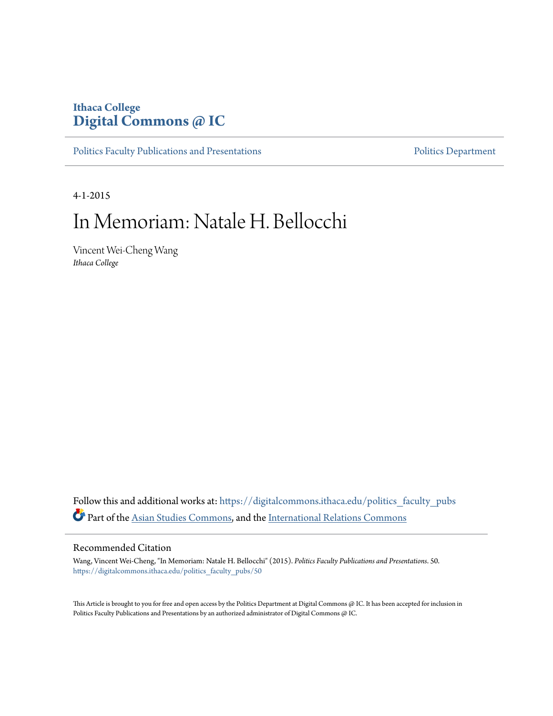### **Ithaca College [Digital Commons @ IC](https://digitalcommons.ithaca.edu?utm_source=digitalcommons.ithaca.edu%2Fpolitics_faculty_pubs%2F50&utm_medium=PDF&utm_campaign=PDFCoverPages)**

[Politics Faculty Publications and Presentations](https://digitalcommons.ithaca.edu/politics_faculty_pubs?utm_source=digitalcommons.ithaca.edu%2Fpolitics_faculty_pubs%2F50&utm_medium=PDF&utm_campaign=PDFCoverPages) **[Politics Department](https://digitalcommons.ithaca.edu/politics?utm_source=digitalcommons.ithaca.edu%2Fpolitics_faculty_pubs%2F50&utm_medium=PDF&utm_campaign=PDFCoverPages)** Politics Department

4-1-2015

# In Memoriam: Natale H. Bellocchi

Vincent Wei-Cheng Wang *Ithaca College*

Follow this and additional works at: [https://digitalcommons.ithaca.edu/politics\\_faculty\\_pubs](https://digitalcommons.ithaca.edu/politics_faculty_pubs?utm_source=digitalcommons.ithaca.edu%2Fpolitics_faculty_pubs%2F50&utm_medium=PDF&utm_campaign=PDFCoverPages) Part of the [Asian Studies Commons,](http://network.bepress.com/hgg/discipline/361?utm_source=digitalcommons.ithaca.edu%2Fpolitics_faculty_pubs%2F50&utm_medium=PDF&utm_campaign=PDFCoverPages) and the [International Relations Commons](http://network.bepress.com/hgg/discipline/389?utm_source=digitalcommons.ithaca.edu%2Fpolitics_faculty_pubs%2F50&utm_medium=PDF&utm_campaign=PDFCoverPages)

#### Recommended Citation

Wang, Vincent Wei-Cheng, "In Memoriam: Natale H. Bellocchi" (2015). *Politics Faculty Publications and Presentations*. 50. [https://digitalcommons.ithaca.edu/politics\\_faculty\\_pubs/50](https://digitalcommons.ithaca.edu/politics_faculty_pubs/50?utm_source=digitalcommons.ithaca.edu%2Fpolitics_faculty_pubs%2F50&utm_medium=PDF&utm_campaign=PDFCoverPages)

This Article is brought to you for free and open access by the Politics Department at Digital Commons @ IC. It has been accepted for inclusion in Politics Faculty Publications and Presentations by an authorized administrator of Digital Commons @ IC.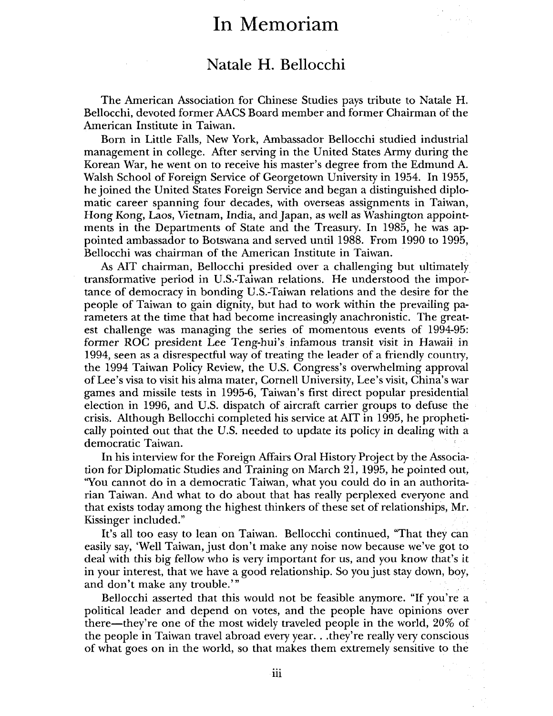# **In Memoriam**

## **Natale H. Bellocchi**

The American Association for Chinese Studies pays tribute to Natale **H.**  Bellocchi, devoted former AACS Board member and former Chairman of the American Institute in Taiwan.

Born in Little Falls, New York, Ambassador Bellocchi studied industrial management in college. After serving in the United States Army during the Korean War, he went on to receive his master's degree from the Edmund A. Walsh School of Foreign Service of Georgetown University in 1954. In 1955, he joined the United States Foreign Service and began a distinguished diplomatic career spanning four decades, with overseas assignments in Taiwan, Hong Kong, Laos, Vietnam, India, and Japan, as well as Washington appointments in the Departments of State and the Treasury. In 1985, he was appointed ambassador to Botswana and served until 1988. From 1990 to 1995, Bellocchi was chairman of the American Institute in Taiwan.

As AIT chairman, Bellocchi presided over a challenging but ultimately transformative period in U.S.-Taiwan relations. He understood the importance of democracy in bonding U.S.-Taiwan relations and the desire for the people of Taiwan to gain dignity, but had to work within the prevailing parameters at the time that had become increasingly anachronistic. The greatest challenge was managing the series of momentous events of 1994-95: former ROC president Lee Teng-hui's infamous transit visit in Hawaii in 1994, seen as a disrespectful way of treating the leader of a friendly country, the 1994 Taiwan Policy Review, the U.S. Congress's overwhelming approval of Lee's visa to visit his alma mater, Cornell University, Lee's visit, China's war games and missile tests in 1995-6, Taiwan's first direct popular presidential election in 1996, and U.S. dispatch of aircraft carrier groups to defuse the crisis. Although Bellocchi completed his service at AIT in 1995, he prophetically pointed out that the U.S. needed to update its policy in dealing with a democratic Taiwan.

In his interview for the Foreign Affairs Oral History Project by the Association for Diplomatic Studies and Training on March 21, 1995, he pointed out, ''You cannot do in a democratic Taiwan, what you could do in an authoritarian Taiwan. And what to do about that has really perplexed everyone and that exists today among the highest thinkers of these set of relationships, Mr. Kissinger included."

It's all too easy to lean on Taiwan. Bellocchi continued, "That they can easily say, 'Well Taiwan, just don't make any noise now because we've got to deal with this big fellow who is very important for us, and you know that's it in your interest, that we have a good relationship. So you just stay down, boy, and don't make any trouble."'

Bellocchi asserted that this would not be feasible anymore. "If you're a political leader and depend on votes, and the people have opinions over there-they're one of the most widely traveled people in the world, 20% of the people in Taiwan travel abroad every year ... they're really very conscious of what goes on in the world, so that makes them extremely sensitive to the